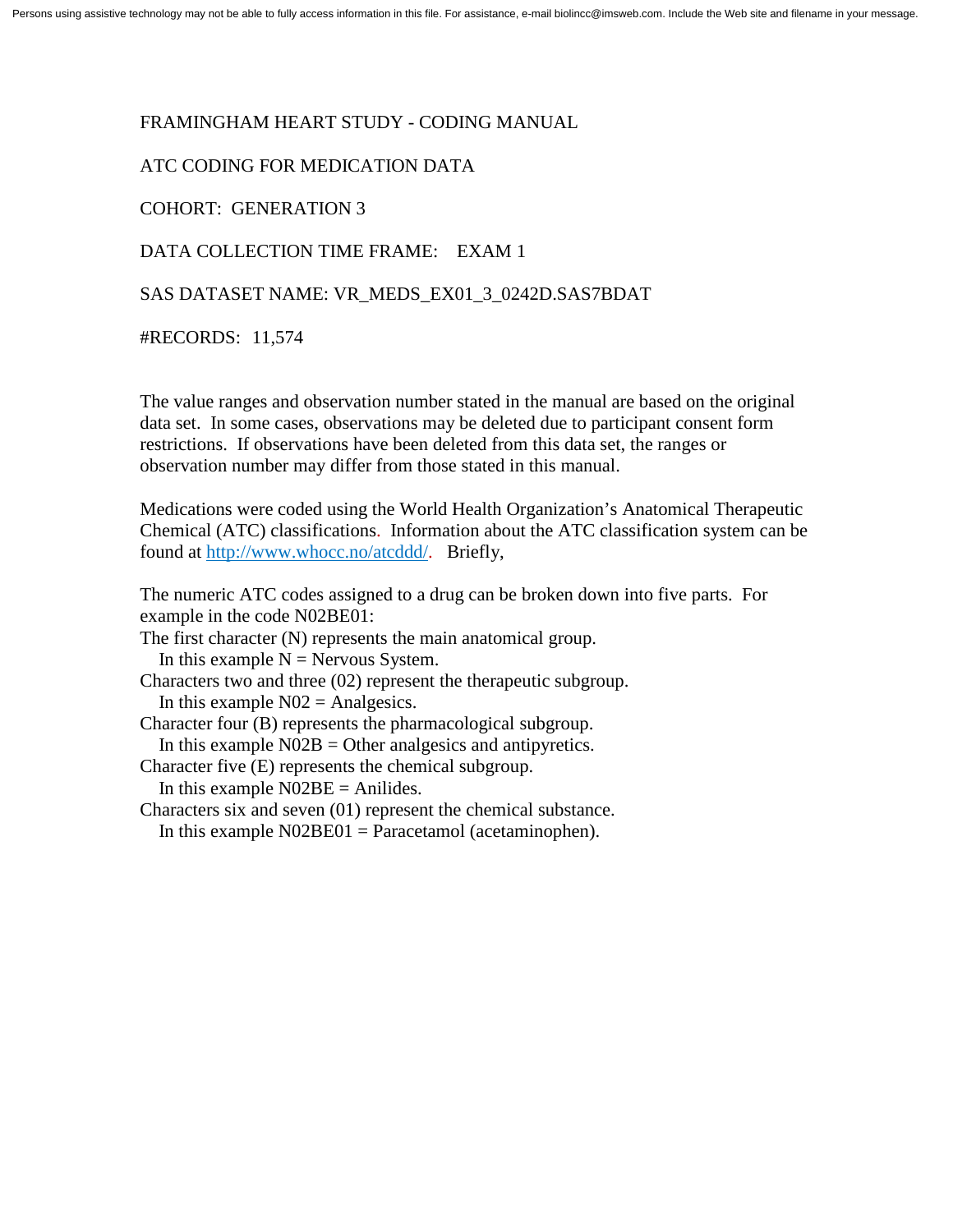### FRAMINGHAM HEART STUDY - CODING MANUAL

## ATC CODING FOR MEDICATION DATA

### COHORT: GENERATION 3

# DATA COLLECTION TIME FRAME: EXAM 1

### SAS DATASET NAME: VR\_MEDS\_EX01\_3\_0242D.SAS7BDAT

#RECORDS: 11,574

The value ranges and observation number stated in the manual are based on the original data set. In some cases, observations may be deleted due to participant consent form restrictions. If observations have been deleted from this data set, the ranges or observation number may differ from those stated in this manual.

Medications were coded using the World Health Organization's Anatomical Therapeutic Chemical (ATC) classifications. Information about the ATC classification system can be found at [http://www.whocc.no/atcddd/.](http://www.whocc.no/atcddd/) Briefly,

The numeric ATC codes assigned to a drug can be broken down into five parts. For example in the code N02BE01:

The first character (N) represents the main anatomical group. In this example  $N =$  Nervous System. Characters two and three (02) represent the therapeutic subgroup. In this example  $N02$  = Analgesics. Character four (B) represents the pharmacological subgroup. In this example  $N02B =$  Other analgesics and antipyretics.

Character five (E) represents the chemical subgroup.

In this example  $NO2BE = Anilides$ .

Characters six and seven (01) represent the chemical substance.

In this example  $N02BE01 = Paracetamol$  (acetaminophen).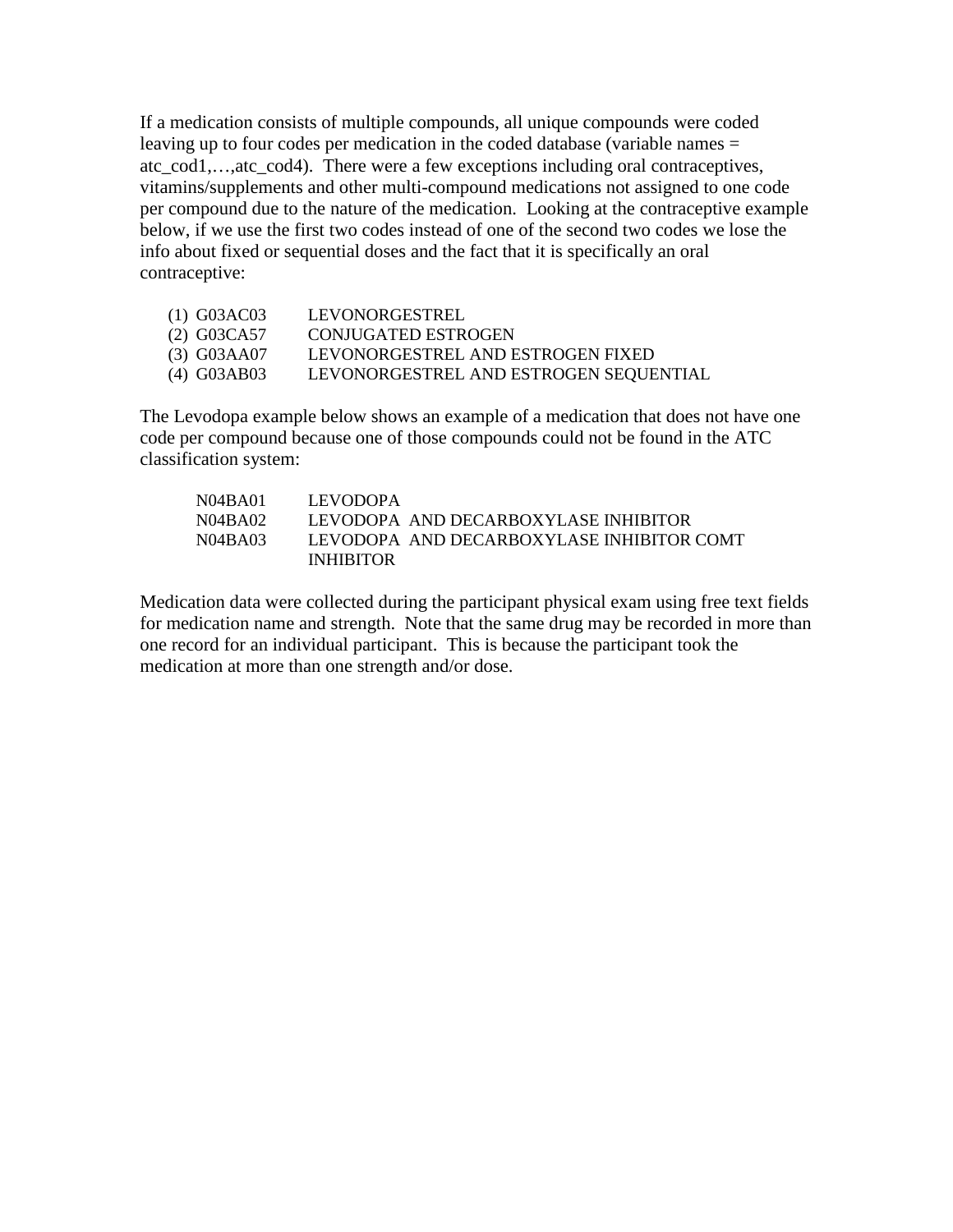If a medication consists of multiple compounds, all unique compounds were coded leaving up to four codes per medication in the coded database (variable names = atc\_cod1,…,atc\_cod4). There were a few exceptions including oral contraceptives, vitamins/supplements and other multi-compound medications not assigned to one code per compound due to the nature of the medication. Looking at the contraceptive example below, if we use the first two codes instead of one of the second two codes we lose the info about fixed or sequential doses and the fact that it is specifically an oral contraceptive:

| (1) G03AC03 | LEVONORGESTREL                         |
|-------------|----------------------------------------|
| (2) G03CA57 | CONJUGATED ESTROGEN                    |
| (3) G03AA07 | LEVONORGESTREL AND ESTROGEN FIXED      |
| (4) G03AB03 | LEVONORGESTREL AND ESTROGEN SEQUENTIAL |

The Levodopa example below shows an example of a medication that does not have one code per compound because one of those compounds could not be found in the ATC classification system:

| N04BA01 | <b>LEVODOPA</b>                           |
|---------|-------------------------------------------|
| N04BA02 | LEVODOPA AND DECARBOXYLASE INHIBITOR      |
| N04BA03 | LEVODOPA AND DECARBOXYLASE INHIBITOR COMT |
|         | <b>INHIBITOR</b>                          |

Medication data were collected during the participant physical exam using free text fields for medication name and strength. Note that the same drug may be recorded in more than one record for an individual participant. This is because the participant took the medication at more than one strength and/or dose.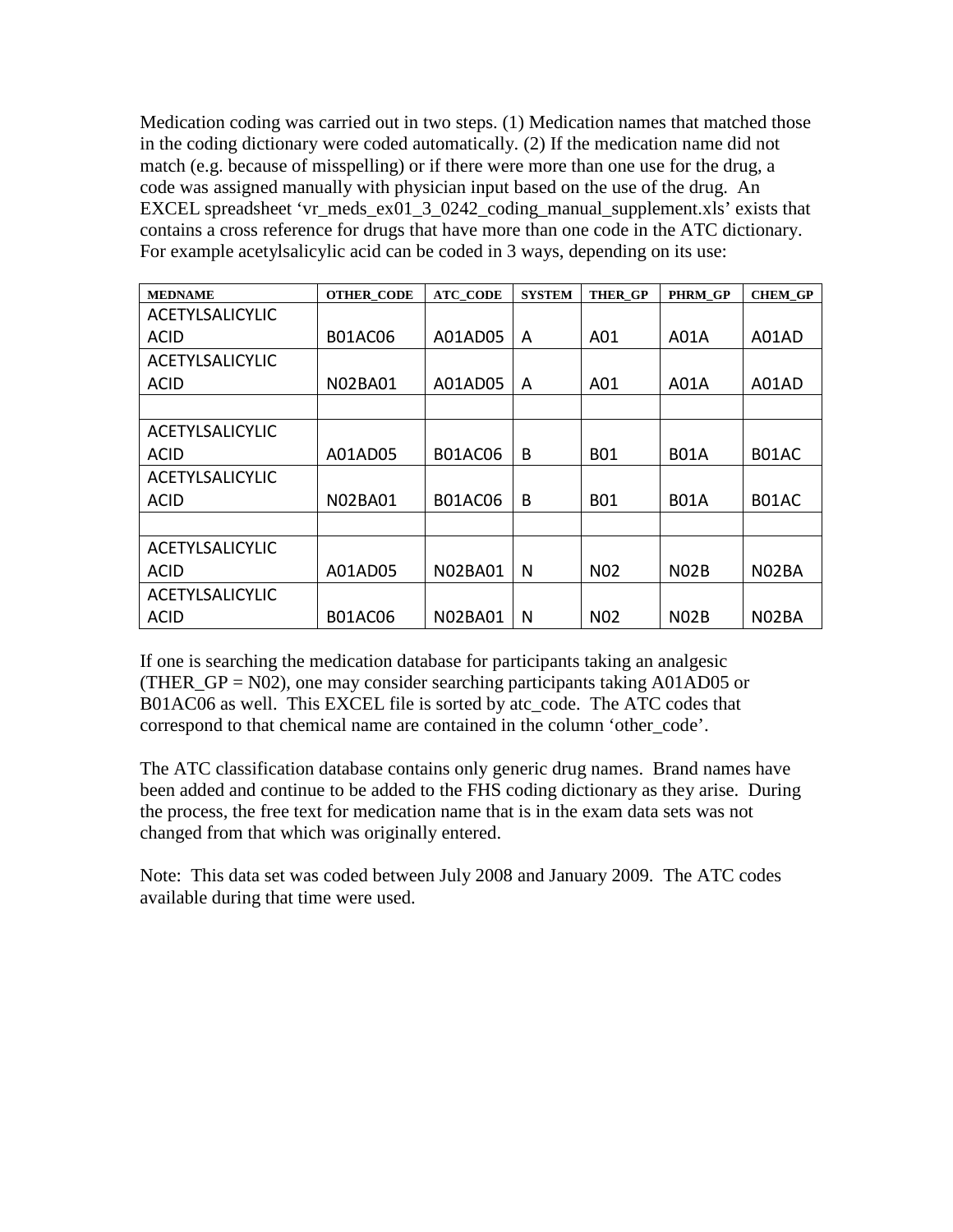Medication coding was carried out in two steps. (1) Medication names that matched those in the coding dictionary were coded automatically. (2) If the medication name did not match (e.g. because of misspelling) or if there were more than one use for the drug, a code was assigned manually with physician input based on the use of the drug. An EXCEL spreadsheet 'vr\_meds\_ex01\_3\_0242\_coding\_manual\_supplement.xls' exists that contains a cross reference for drugs that have more than one code in the ATC dictionary. For example acetylsalicylic acid can be coded in 3 ways, depending on its use:

| <b>MEDNAME</b>         | <b>OTHER CODE</b> | <b>ATC CODE</b> | <b>SYSTEM</b> | <b>THER GP</b>   | <b>PHRM GP</b>    | <b>CHEM GP</b>     |
|------------------------|-------------------|-----------------|---------------|------------------|-------------------|--------------------|
| <b>ACETYLSALICYLIC</b> |                   |                 |               |                  |                   |                    |
| ACID                   | <b>B01AC06</b>    | A01AD05         | A             | A01              | A01A              | A01AD              |
| <b>ACETYLSALICYLIC</b> |                   |                 |               |                  |                   |                    |
| <b>ACID</b>            | <b>N02BA01</b>    | A01AD05         | A             | A01              | A01A              | A01AD              |
|                        |                   |                 |               |                  |                   |                    |
| <b>ACETYLSALICYLIC</b> |                   |                 |               |                  |                   |                    |
| <b>ACID</b>            | A01AD05           | <b>B01AC06</b>  | B             | <b>B01</b>       | <b>B01A</b>       | B01AC              |
| <b>ACETYLSALICYLIC</b> |                   |                 |               |                  |                   |                    |
| <b>ACID</b>            | <b>N02BA01</b>    | <b>B01AC06</b>  | B             | <b>B01</b>       | <b>B01A</b>       | B01AC              |
|                        |                   |                 |               |                  |                   |                    |
| <b>ACETYLSALICYLIC</b> |                   |                 |               |                  |                   |                    |
| ACID                   | A01AD05           | <b>N02BA01</b>  | N             | N <sub>0</sub> 2 | N <sub>02</sub> B | N <sub>02</sub> BA |
| <b>ACETYLSALICYLIC</b> |                   |                 |               |                  |                   |                    |
| ACID                   | <b>B01AC06</b>    | <b>N02BA01</b>  | N             | N <sub>0</sub> 2 | N <sub>02</sub> B | N02BA              |

If one is searching the medication database for participants taking an analgesic (THER\_GP =  $N02$ ), one may consider searching participants taking A01AD05 or B01AC06 as well. This EXCEL file is sorted by atc\_code. The ATC codes that correspond to that chemical name are contained in the column 'other\_code'.

The ATC classification database contains only generic drug names. Brand names have been added and continue to be added to the FHS coding dictionary as they arise. During the process, the free text for medication name that is in the exam data sets was not changed from that which was originally entered.

Note: This data set was coded between July 2008 and January 2009. The ATC codes available during that time were used.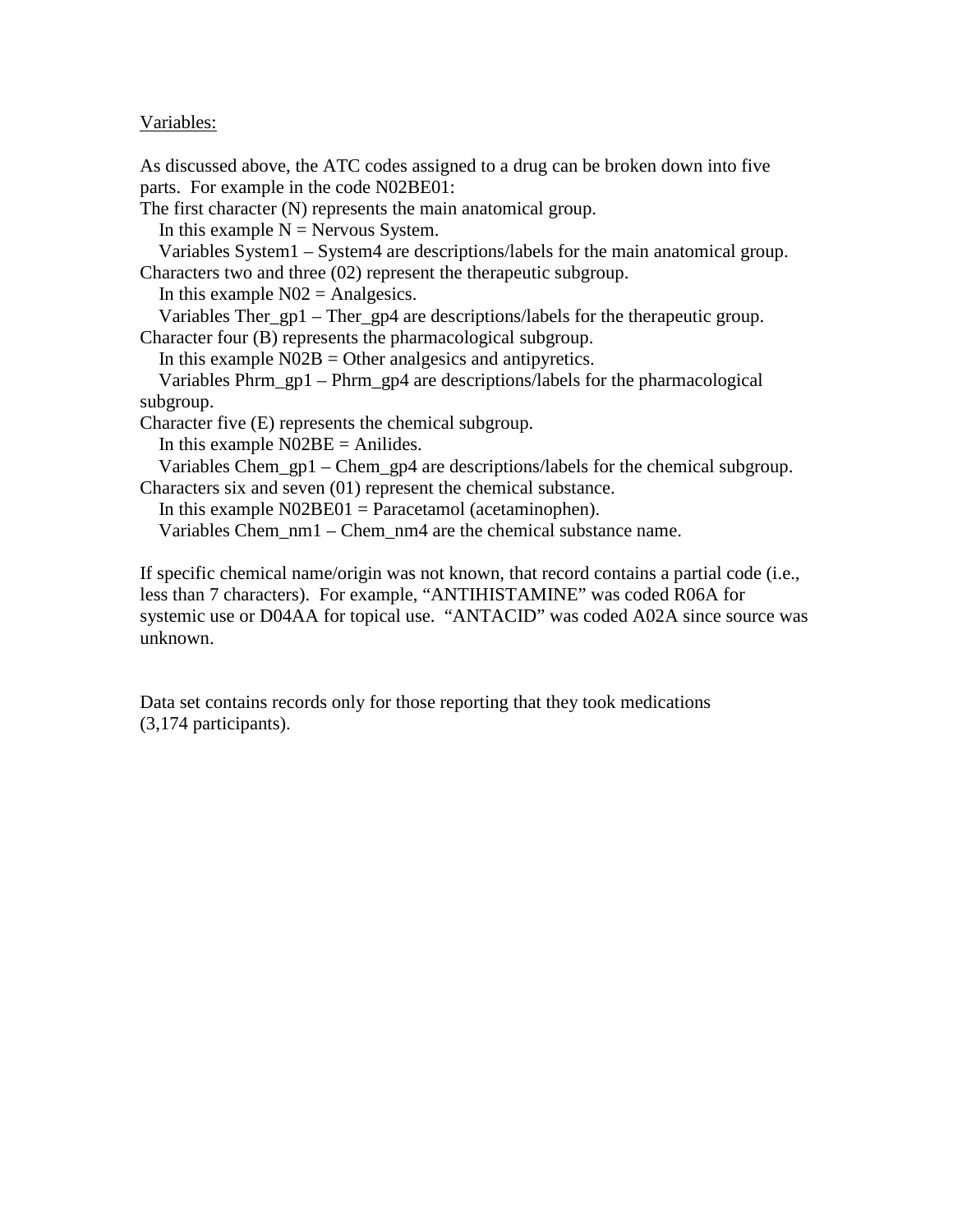## Variables:

As discussed above, the ATC codes assigned to a drug can be broken down into five parts. For example in the code N02BE01:

The first character (N) represents the main anatomical group.

In this example  $N =$  Nervous System.

 Variables System1 – System4 are descriptions/labels for the main anatomical group. Characters two and three (02) represent the therapeutic subgroup.

In this example  $N02$  = Analgesics.

 Variables Ther\_gp1 – Ther\_gp4 are descriptions/labels for the therapeutic group. Character four (B) represents the pharmacological subgroup.

In this example  $N02B =$  Other analgesics and antipyretics.

 Variables Phrm\_gp1 – Phrm\_gp4 are descriptions/labels for the pharmacological subgroup.

Character five (E) represents the chemical subgroup.

In this example  $N02BE =$  Anilides.

Variables Chem\_gp1 – Chem\_gp4 are descriptions/labels for the chemical subgroup. Characters six and seven (01) represent the chemical substance.

In this example  $N02BE01 = Paracetamol$  (acetaminophen).

Variables Chem\_nm1 – Chem\_nm4 are the chemical substance name.

If specific chemical name/origin was not known, that record contains a partial code (i.e., less than 7 characters). For example, "ANTIHISTAMINE" was coded R06A for systemic use or D04AA for topical use. "ANTACID" was coded A02A since source was unknown.

Data set contains records only for those reporting that they took medications (3,174 participants).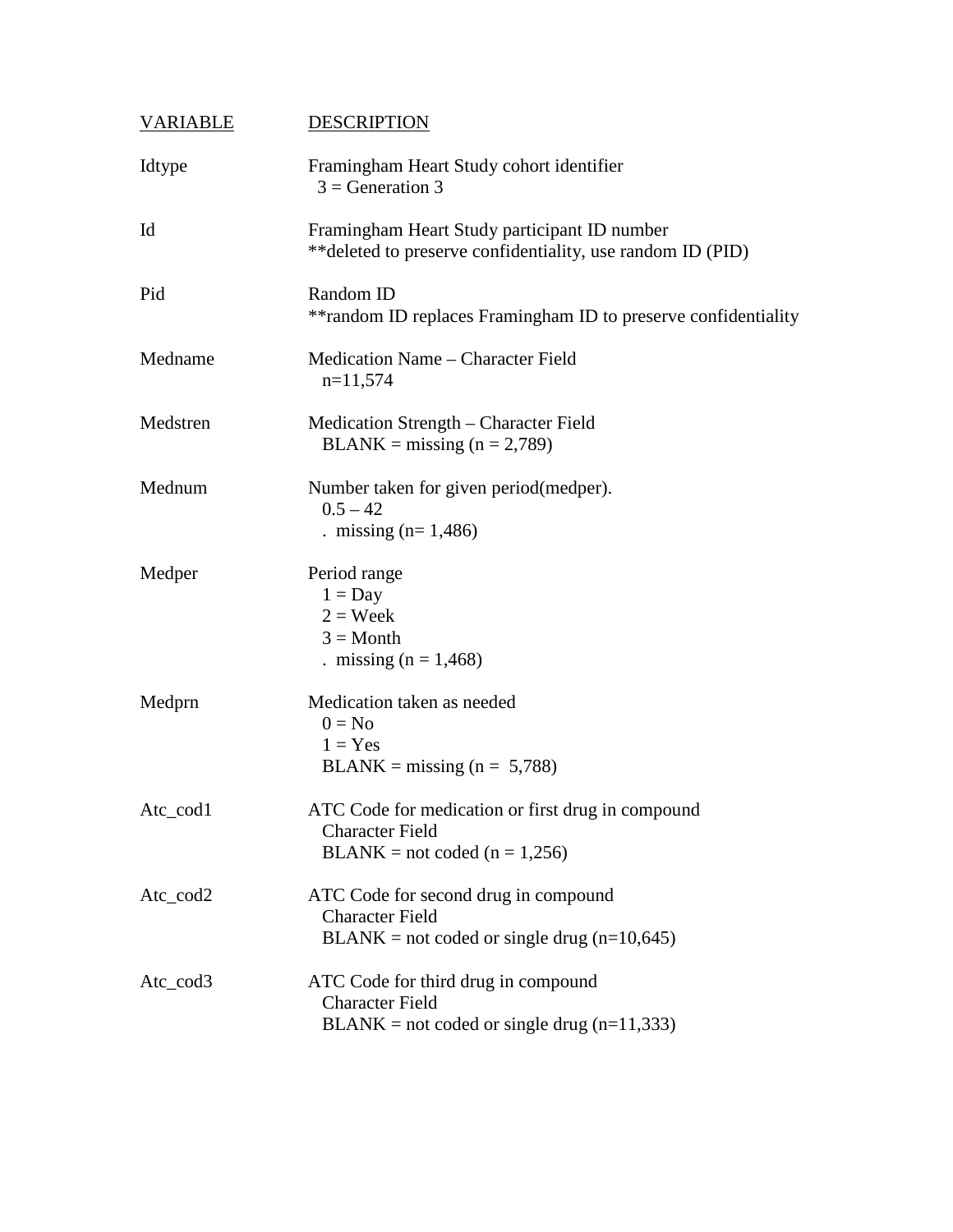| <b>VARIABLE</b> | <b>DESCRIPTION</b>                                                                                              |
|-----------------|-----------------------------------------------------------------------------------------------------------------|
| Idtype          | Framingham Heart Study cohort identifier<br>$3 =$ Generation 3                                                  |
| Id              | Framingham Heart Study participant ID number<br>** deleted to preserve confidentiality, use random ID (PID)     |
| Pid             | Random ID<br>**random ID replaces Framingham ID to preserve confidentiality                                     |
| Medname         | Medication Name – Character Field<br>$n=11,574$                                                                 |
| Medstren        | Medication Strength – Character Field<br>$BLANK = missing (n = 2,789)$                                          |
| Mednum          | Number taken for given period (medper).<br>$0.5 - 42$<br>. missing $(n=1,486)$                                  |
| Medper          | Period range<br>$1 = Day$<br>$2 = \text{Week}$<br>$3 = \text{Month}$<br>. missing $(n = 1,468)$                 |
| Medprn          | Medication taken as needed<br>$0 = No$<br>$1 = Yes$<br>$BLANK = missing (n = 5,788)$                            |
| Atc_cod1        | ATC Code for medication or first drug in compound<br><b>Character Field</b><br>$BLANK = not coded (n = 1,256)$  |
| Atc_cod2        | ATC Code for second drug in compound<br><b>Character Field</b><br>$BLANK = not coded or single drug (n=10,645)$ |
| Atc_cod3        | ATC Code for third drug in compound<br><b>Character Field</b><br>$BLANK = not coded or single drug (n=11,333)$  |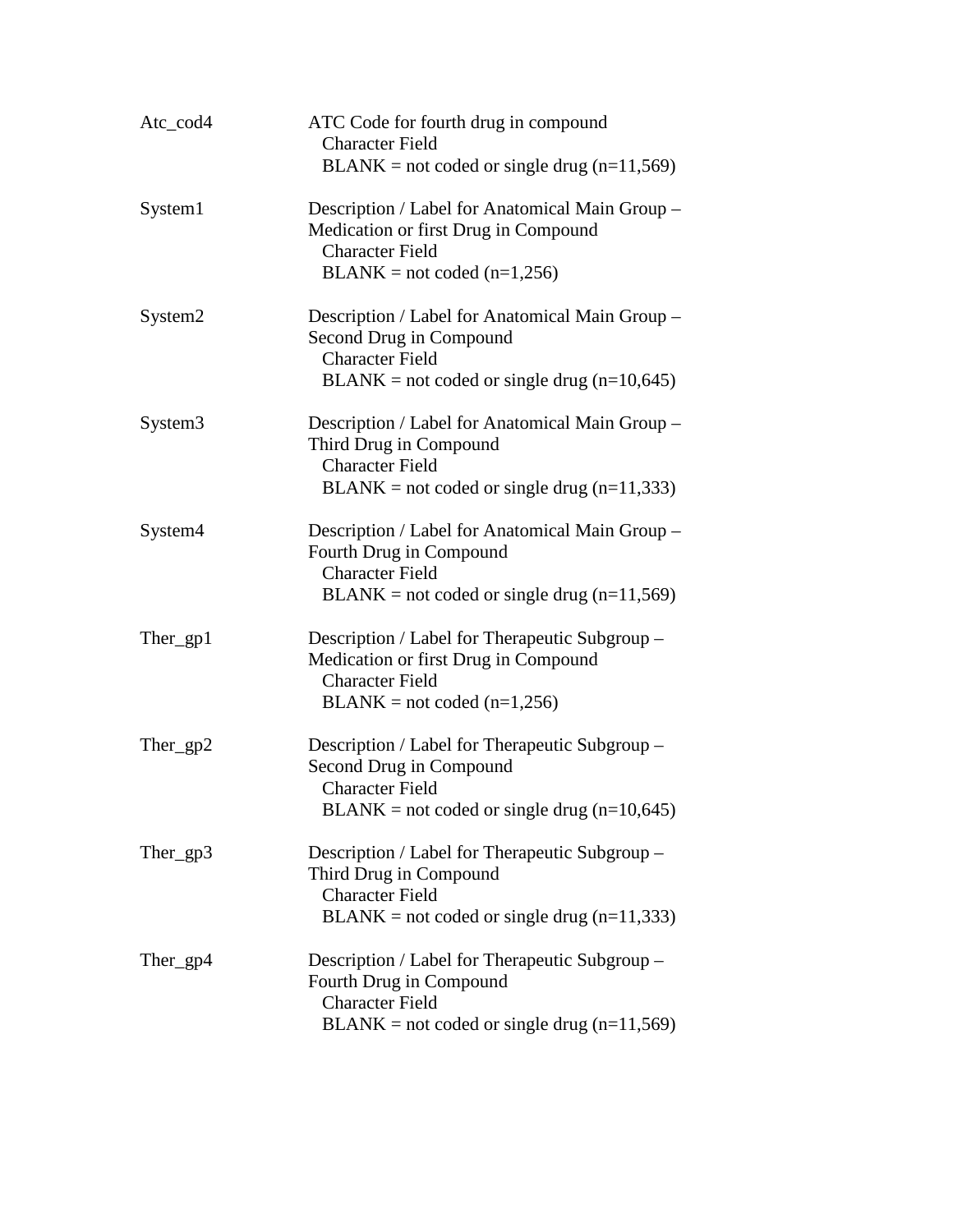| Atc_cod4            | ATC Code for fourth drug in compound<br><b>Character Field</b><br>$BLANK = not coded or single drug (n=11,569)$                                       |
|---------------------|-------------------------------------------------------------------------------------------------------------------------------------------------------|
| System1             | Description / Label for Anatomical Main Group -<br>Medication or first Drug in Compound<br><b>Character Field</b><br>$BLANK = not coded (n=1,256)$    |
| System2             | Description / Label for Anatomical Main Group -<br>Second Drug in Compound<br><b>Character Field</b><br>$BLANK = not coded or single drug (n=10,645)$ |
| System <sub>3</sub> | Description / Label for Anatomical Main Group -<br>Third Drug in Compound<br><b>Character Field</b><br>$BLANK = not coded or single drug (n=11,333)$  |
| System4             | Description / Label for Anatomical Main Group -<br>Fourth Drug in Compound<br><b>Character Field</b><br>$BLANK = not coded or single drug (n=11,569)$ |
| $There\_gp1$        | Description / Label for Therapeutic Subgroup –<br>Medication or first Drug in Compound<br><b>Character Field</b><br>$BLANK = not coded (n=1,256)$     |
| Ther_gp2            | Description / Label for Therapeutic Subgroup -<br>Second Drug in Compound<br><b>Character Field</b><br>$BLANK = not coded or single drug (n=10,645)$  |
| Ther_gp3            | Description / Label for Therapeutic Subgroup –<br>Third Drug in Compound<br><b>Character Field</b><br>$BLANK = not coded or single drug (n=11,333)$   |
| $There\_gp4$        | Description / Label for Therapeutic Subgroup –<br>Fourth Drug in Compound<br><b>Character Field</b><br>$BLANK = not coded or single drug (n=11,569)$  |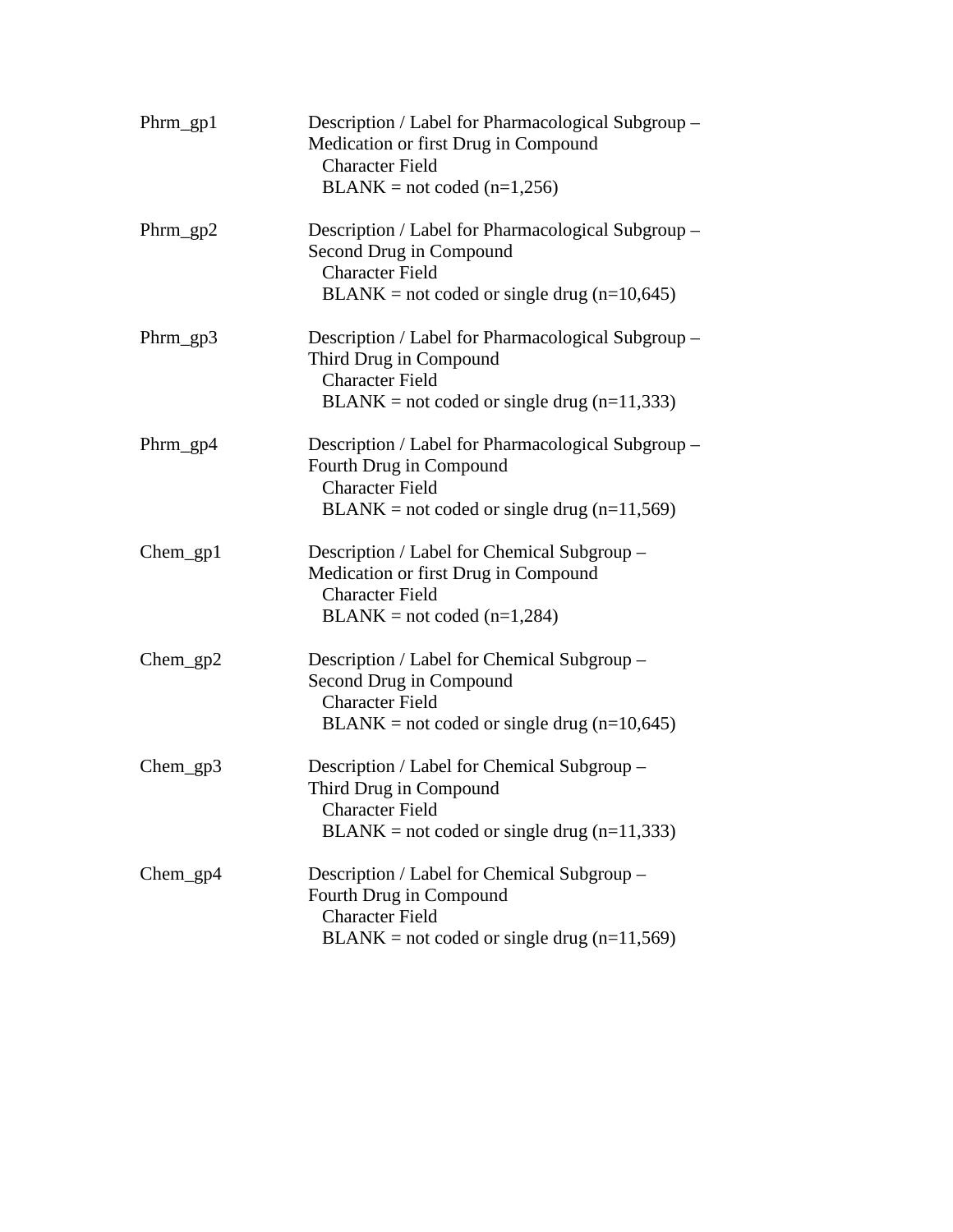| $Phrm\_gp1$ | Description / Label for Pharmacological Subgroup –<br>Medication or first Drug in Compound<br><b>Character Field</b><br>$BLANK = not coded (n=1,256)$    |
|-------------|----------------------------------------------------------------------------------------------------------------------------------------------------------|
| $Phrm\_gp2$ | Description / Label for Pharmacological Subgroup –<br>Second Drug in Compound<br><b>Character Field</b><br>$BLANK = not coded or single drug (n=10,645)$ |
| $Phrm\_gp3$ | Description / Label for Pharmacological Subgroup -<br>Third Drug in Compound<br><b>Character Field</b><br>$BLANK = not coded or single drug (n=11,333)$  |
| Phrm_gp4    | Description / Label for Pharmacological Subgroup -<br>Fourth Drug in Compound<br><b>Character Field</b><br>$BLANK = not coded or single drug (n=11,569)$ |
| Chem_gp1    | Description / Label for Chemical Subgroup –<br>Medication or first Drug in Compound<br><b>Character Field</b><br>$BLANK = not coded (n=1,284)$           |
| $Chem\_gp2$ | Description / Label for Chemical Subgroup –<br>Second Drug in Compound<br><b>Character Field</b><br>$BLANK = not coded or single drug (n=10,645)$        |
| $Chem\_gp3$ | Description / Label for Chemical Subgroup –<br>Third Drug in Compound<br><b>Character Field</b><br>$BLANK = not coded or single drug (n=11,333)$         |
| $Chem\_gp4$ | Description / Label for Chemical Subgroup –<br>Fourth Drug in Compound<br><b>Character Field</b><br>$BLANK = not coded or single drug (n=11,569)$        |